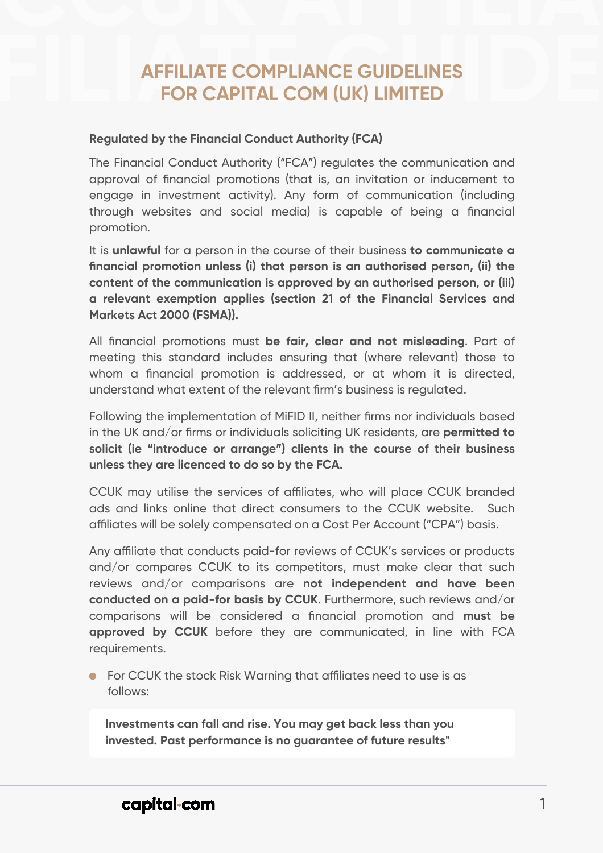1

## capital com

The Financial Conduct Authority ("FCA") regulates the communication and approval of financial promotions (that is, an invitation or inducement to engage in investment activity). Any form of communication (including through websites and social media) is capable of being a financial promotion.

It is **unlawful** for a person in the course of their business **to communicate a financial promotion unless (i) that person is an authorised person, (ii) the content of the communication is approved by an authorised person, or (iii) a relevant exemption applies (section 21 of the Financial Services and Markets Act 2000 (FSMA)).**

All financial promotions must **be fair, clear and not misleading**. Part of meeting this standard includes ensuring that (where relevant) those to whom a financial promotion is addressed, or at whom it is directed, understand what extent of the relevant firm's business is regulated.

Any affiliate that conducts paid-for reviews of CCUK's services or products and/or compares CCUK to its competitors, must make clear that such reviews and/or comparisons are **not independent and have been conducted on a paid-for basis by CCUK**. Furthermore, such reviews and/or comparisons will be considered a financial promotion and **must be approved by CCUK** before they are communicated, in line with FCA requirements.

## **COMPLIANCE GUIDELINES<br>FOR CAPITAL COM (UK) LIMITED AFFILIATE COMPLIANCE GUIDELINES FOR CAPITAL COM (UK) LIMITED**

For CCUK the stock Risk Warning that affiliates need to use is as follows:

Following the implementation of MiFID II, neither firms nor individuals based in the UK and/or firms or individuals soliciting UK residents, are **permitted to solicit (ie "introduce or arrange") clients in the course of their business** 

**unless they are licenced to do so by the FCA.** 

CCUK may utilise the services of affiliates, who will place CCUK branded ads and links online that direct consumers to the CCUK website. Such affiliates will be solely compensated on a Cost Per Account ("CPA") basis.

**Investments can fall and rise. You may get back less than you invested. Past performance is no guarantee of future results"**

## **Regulated by the Financial Conduct Authority (FCA)**